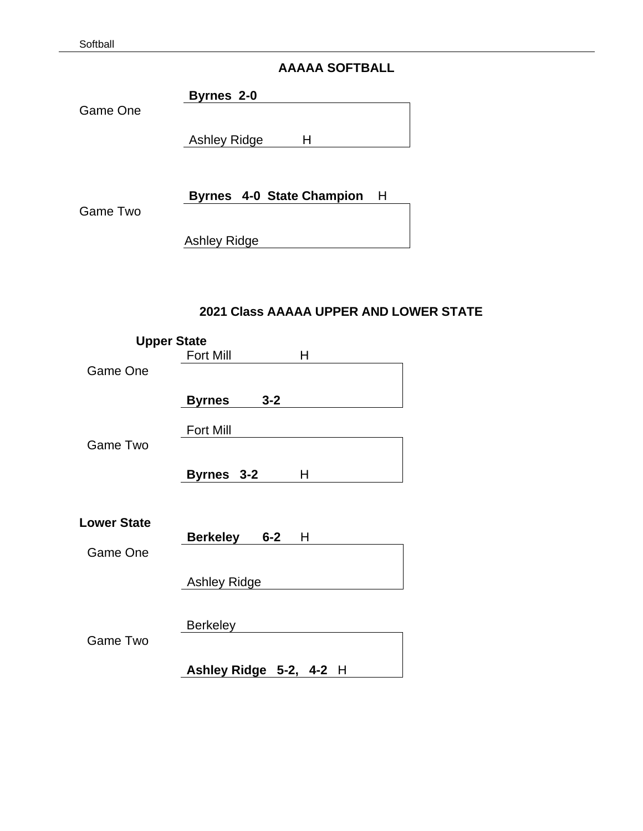# **AAAAA SOFTBALL**

**Byrnes 2-0**

Game One

Ashley Ridge H

| <b>Byrnes 4-0 State Champion</b> | Η |
|----------------------------------|---|
|----------------------------------|---|

Game Two

Ashley Ridge

# **2021 Class AAAAA UPPER AND LOWER STATE**

| <b>Upper State</b>             |                          |   |
|--------------------------------|--------------------------|---|
|                                | <b>Fort Mill</b>         | Н |
| Game One                       |                          |   |
|                                | $3 - 2$<br><b>Byrnes</b> |   |
|                                | <b>Fort Mill</b>         |   |
| Game Two                       |                          |   |
|                                | Byrnes 3-2               | н |
| <b>Lower State</b><br>Game One | <b>Berkeley 6-2</b>      | н |
|                                | <b>Ashley Ridge</b>      |   |
| Game Two                       | <b>Berkeley</b>          |   |
|                                | Ashley Ridge 5-2, 4-2 H  |   |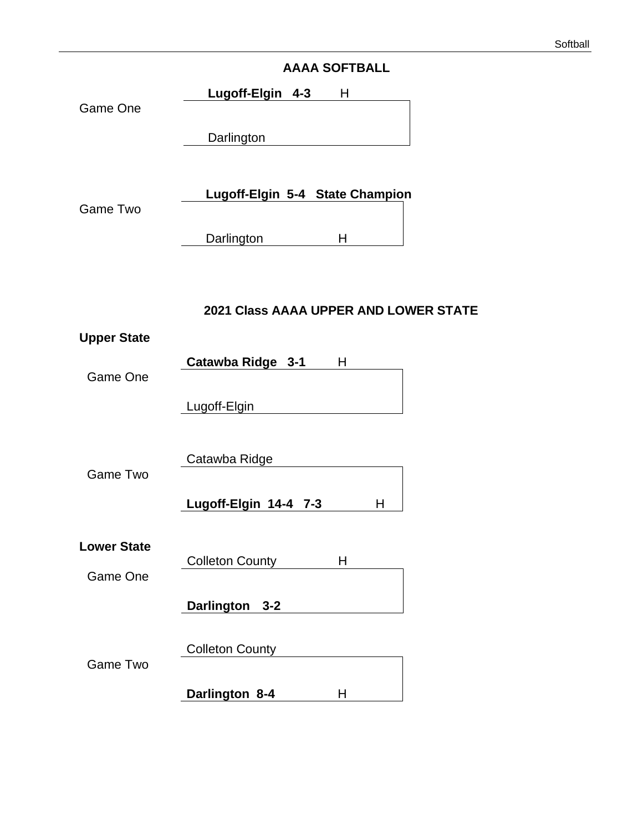# **AAAA SOFTBALL**

**Lugoff-Elgin 4-3** H Game One **Darlington** 

| Game Two | Lugoff-Elgin 5-4 State Champion |  |
|----------|---------------------------------|--|
|          | Darlington                      |  |

# **2021 Class AAAA UPPER AND LOWER STATE**

| <b>Upper State</b> |                        |   |
|--------------------|------------------------|---|
|                    | Catawba Ridge 3-1      | Н |
| Game One           |                        |   |
|                    | Lugoff-Elgin           |   |
|                    |                        |   |
|                    | Catawba Ridge          |   |
| Game Two           |                        |   |
|                    | Lugoff-Elgin 14-4 7-3  | н |
|                    |                        |   |
| <b>Lower State</b> | <b>Colleton County</b> | н |
| Game One           |                        |   |
|                    | Darlington 3-2         |   |
|                    |                        |   |
|                    | <b>Colleton County</b> |   |
| Game Two           |                        |   |
|                    | Darlington 8-4         | н |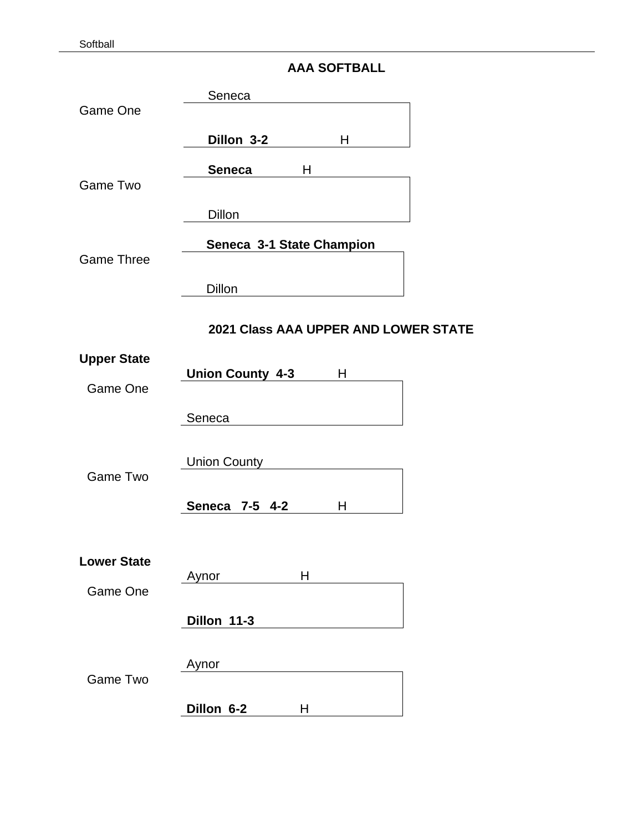Softball

|  | <b>AAA SOFTBALL</b> |  |
|--|---------------------|--|
|--|---------------------|--|

| Game One                       | Seneca                                                                                                                                                                                                                                 |
|--------------------------------|----------------------------------------------------------------------------------------------------------------------------------------------------------------------------------------------------------------------------------------|
|                                | Dillon 3-2<br>H                                                                                                                                                                                                                        |
| <b>Game Two</b>                | <b>Seneca</b><br>Н                                                                                                                                                                                                                     |
|                                | Dillon                                                                                                                                                                                                                                 |
| <b>Game Three</b>              | Seneca 3-1 State Champion                                                                                                                                                                                                              |
|                                | Dillon                                                                                                                                                                                                                                 |
|                                | <b>2021 Class AAA UPPER AND LOWER STATE</b>                                                                                                                                                                                            |
| <b>Upper State</b><br>Game One | <b>Union County 4-3</b><br>Н                                                                                                                                                                                                           |
|                                | Seneca                                                                                                                                                                                                                                 |
| <b>Game Two</b>                | <b>Union County</b>                                                                                                                                                                                                                    |
|                                | Seneca 7-5 4-2<br>н                                                                                                                                                                                                                    |
| <b>Lower State</b>             | $H$ and $H$ and $H$ and $H$ and $H$ and $H$ and $H$ and $H$ and $H$ and $H$ and $H$ and $H$ and $H$ and $H$ and $H$ and $H$ and $H$ and $H$ and $H$ and $H$ and $H$ and $H$ and $H$ and $H$ and $H$ and $H$ and $H$ and $H$ a<br>Aynor |
| Game One                       |                                                                                                                                                                                                                                        |
|                                | Dillon 11-3                                                                                                                                                                                                                            |
| <b>Game Two</b>                | Aynor                                                                                                                                                                                                                                  |
|                                | Dillon 6-2<br>H                                                                                                                                                                                                                        |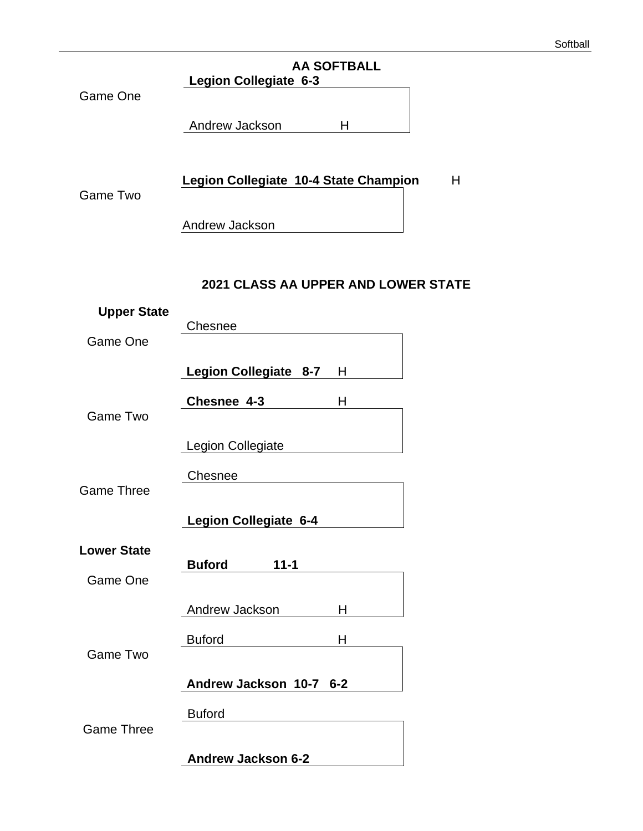# **AA SOFTBALL Legion Collegiate 6-3** Game One Andrew Jackson H **Legion Collegiate 10-4 State Champion** H Game Two Andrew Jackson **2021 CLASS AA UPPER AND LOWER STATE Upper State** Chesnee Game One **Legion Collegiate 8-7** H **Chesnee 4-3** H

Game Two

Legion Collegiate

Chesnee Game Three

**Legion Collegiate 6-4**

**Buford 11-1**

**Lower State**

Game One

Andrew Jackson H

Game Two

**Andrew Jackson 10-7 6-2**

Buford H

Buford

Game Three

**Andrew Jackson 6-2**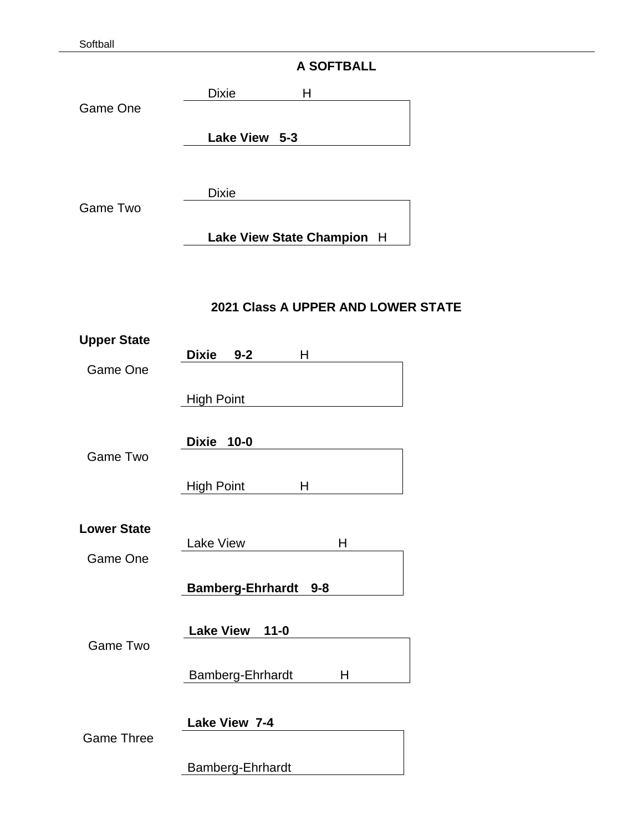Softball

# **A SOFTBALL**

Dixie H Game One **Lake View 5-3**

Dixie

Game Two

**Lake View State Champion** H

# **2021 Class A UPPER AND LOWER STATE**

| <b>Upper State</b> |                                    |
|--------------------|------------------------------------|
| Game One           | Dixie 9-2<br>н                     |
|                    | <b>High Point</b>                  |
| <b>Game Two</b>    | <b>Dixie</b><br>$10 - 0$           |
|                    | <b>High Point</b><br>H             |
| <b>Lower State</b> | <b>Lake View</b><br>H              |
| Game One           |                                    |
|                    | <b>Bamberg-Ehrhardt</b><br>$9 - 8$ |
| <b>Game Two</b>    | Lake View 11-0                     |
|                    | Bamberg-Ehrhardt<br>н              |
| <b>Game Three</b>  | Lake View 7-4                      |
|                    | Bamberg-Ehrhardt                   |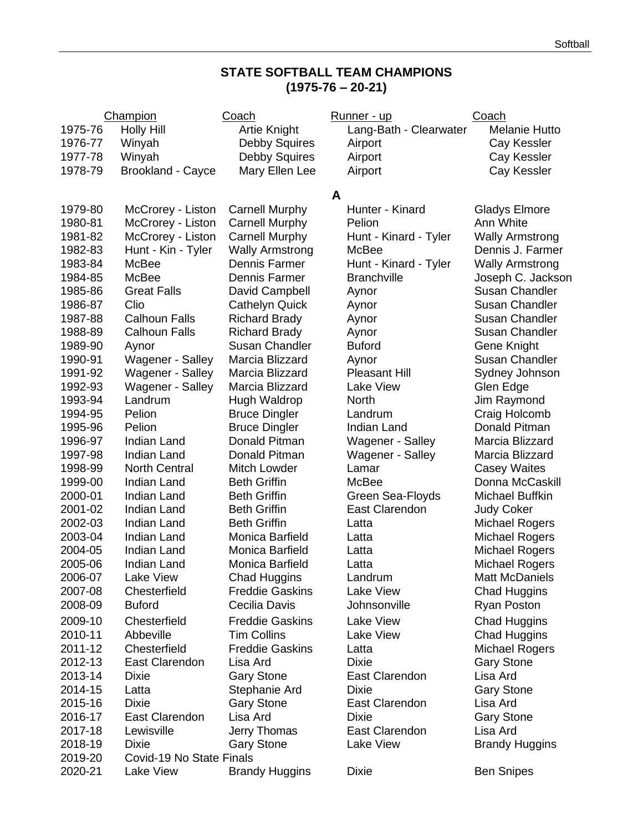# **STATE SOFTBALL TEAM CHAMPIONS (1975-76 – 20-21)**

|         | Champion                 | Coach                  |   | Runner - up            | Coach                  |
|---------|--------------------------|------------------------|---|------------------------|------------------------|
| 1975-76 | <b>Holly Hill</b>        | <b>Artie Knight</b>    |   | Lang-Bath - Clearwater | <b>Melanie Hutto</b>   |
| 1976-77 | Winyah                   | <b>Debby Squires</b>   |   | Airport                | Cay Kessler            |
| 1977-78 | Winyah                   | <b>Debby Squires</b>   |   | Airport                | Cay Kessler            |
| 1978-79 | Brookland - Cayce        | Mary Ellen Lee         |   | Airport                | Cay Kessler            |
|         |                          |                        |   |                        |                        |
|         |                          |                        | A |                        |                        |
| 1979-80 | McCrorey - Liston        | <b>Carnell Murphy</b>  |   | Hunter - Kinard        | <b>Gladys Elmore</b>   |
| 1980-81 | McCrorey - Liston        | <b>Carnell Murphy</b>  |   | Pelion                 | Ann White              |
| 1981-82 | McCrorey - Liston        | <b>Carnell Murphy</b>  |   | Hunt - Kinard - Tyler  | <b>Wally Armstrong</b> |
| 1982-83 | Hunt - Kin - Tyler       | <b>Wally Armstrong</b> |   | McBee                  | Dennis J. Farmer       |
| 1983-84 | McBee                    | Dennis Farmer          |   | Hunt - Kinard - Tyler  | <b>Wally Armstrong</b> |
| 1984-85 | McBee                    | Dennis Farmer          |   | <b>Branchville</b>     | Joseph C. Jackson      |
| 1985-86 | <b>Great Falls</b>       | David Campbell         |   | Aynor                  | <b>Susan Chandler</b>  |
| 1986-87 | Clio                     | <b>Cathelyn Quick</b>  |   | Aynor                  | <b>Susan Chandler</b>  |
| 1987-88 | <b>Calhoun Falls</b>     | <b>Richard Brady</b>   |   | Aynor                  | <b>Susan Chandler</b>  |
| 1988-89 | <b>Calhoun Falls</b>     | <b>Richard Brady</b>   |   | Aynor                  | <b>Susan Chandler</b>  |
| 1989-90 | Aynor                    | <b>Susan Chandler</b>  |   | <b>Buford</b>          | Gene Knight            |
| 1990-91 | Wagener - Salley         | Marcia Blizzard        |   | Aynor                  | <b>Susan Chandler</b>  |
| 1991-92 | Wagener - Salley         | Marcia Blizzard        |   | <b>Pleasant Hill</b>   | Sydney Johnson         |
| 1992-93 | Wagener - Salley         | Marcia Blizzard        |   | Lake View              | Glen Edge              |
| 1993-94 | Landrum                  | Hugh Waldrop           |   | <b>North</b>           | Jim Raymond            |
| 1994-95 | Pelion                   | <b>Bruce Dingler</b>   |   | Landrum                | Craig Holcomb          |
| 1995-96 | Pelion                   | <b>Bruce Dingler</b>   |   | Indian Land            | Donald Pitman          |
| 1996-97 | <b>Indian Land</b>       | Donald Pitman          |   | Wagener - Salley       | Marcia Blizzard        |
| 1997-98 | <b>Indian Land</b>       | Donald Pitman          |   | Wagener - Salley       | Marcia Blizzard        |
| 1998-99 | <b>North Central</b>     | Mitch Lowder           |   | Lamar                  | <b>Casey Waites</b>    |
| 1999-00 | <b>Indian Land</b>       | <b>Beth Griffin</b>    |   | McBee                  | Donna McCaskill        |
| 2000-01 | <b>Indian Land</b>       | <b>Beth Griffin</b>    |   | Green Sea-Floyds       | Michael Buffkin        |
| 2001-02 | Indian Land              | <b>Beth Griffin</b>    |   | East Clarendon         | <b>Judy Coker</b>      |
| 2002-03 | <b>Indian Land</b>       | <b>Beth Griffin</b>    |   | Latta                  | <b>Michael Rogers</b>  |
| 2003-04 | Indian Land              | Monica Barfield        |   | Latta                  | <b>Michael Rogers</b>  |
| 2004-05 | <b>Indian Land</b>       | Monica Barfield        |   | Latta                  | <b>Michael Rogers</b>  |
| 2005-06 | Indian Land              | Monica Barfield        |   | Latta                  | <b>Michael Rogers</b>  |
| 2006-07 | Lake View                | <b>Chad Huggins</b>    |   | Landrum                | Matt McDaniels         |
| 2007-08 | Chesterfield             | <b>Freddie Gaskins</b> |   | Lake View              | <b>Chad Huggins</b>    |
| 2008-09 | <b>Buford</b>            | Cecilia Davis          |   | Johnsonville           | Ryan Poston            |
| 2009-10 | Chesterfield             | <b>Freddie Gaskins</b> |   | Lake View              | <b>Chad Huggins</b>    |
| 2010-11 | Abbeville                | <b>Tim Collins</b>     |   | Lake View              | <b>Chad Huggins</b>    |
| 2011-12 | Chesterfield             | <b>Freddie Gaskins</b> |   | Latta                  | <b>Michael Rogers</b>  |
| 2012-13 | East Clarendon           | Lisa Ard               |   | <b>Dixie</b>           | <b>Gary Stone</b>      |
| 2013-14 | Dixie                    | <b>Gary Stone</b>      |   | East Clarendon         | Lisa Ard               |
| 2014-15 | Latta                    | Stephanie Ard          |   | <b>Dixie</b>           | <b>Gary Stone</b>      |
| 2015-16 | <b>Dixie</b>             | <b>Gary Stone</b>      |   | East Clarendon         | Lisa Ard               |
| 2016-17 | East Clarendon           | Lisa Ard               |   | <b>Dixie</b>           | <b>Gary Stone</b>      |
| 2017-18 | Lewisville               | Jerry Thomas           |   | East Clarendon         | Lisa Ard               |
| 2018-19 | <b>Dixie</b>             | <b>Gary Stone</b>      |   | Lake View              | <b>Brandy Huggins</b>  |
| 2019-20 | Covid-19 No State Finals |                        |   |                        |                        |
| 2020-21 | Lake View                | <b>Brandy Huggins</b>  |   | Dixie                  | <b>Ben Snipes</b>      |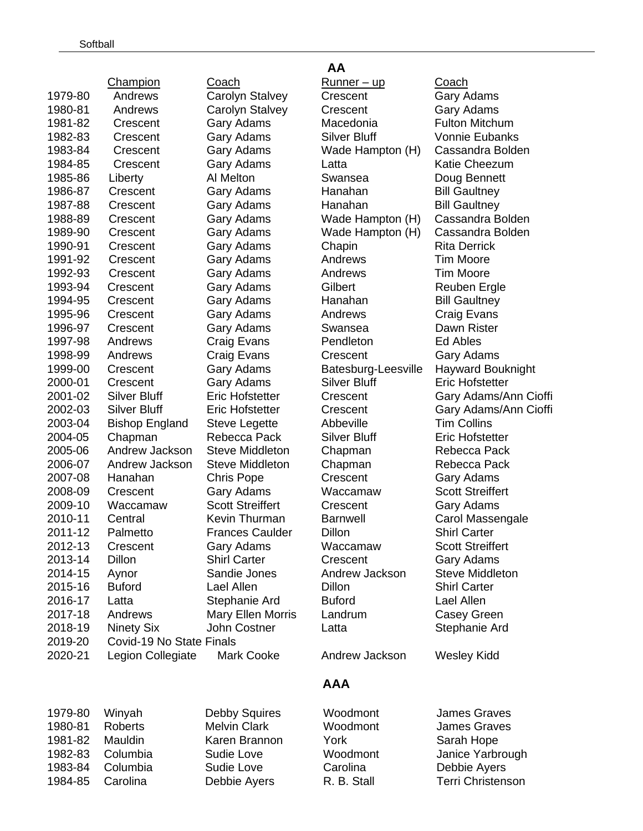|         | <b>Champion</b>          | <u>Coach</u>            | <u>Runner – up</u>  | <u>Coach</u>        |
|---------|--------------------------|-------------------------|---------------------|---------------------|
| 1979-80 | Andrews                  | Carolyn Stalvey         | Crescent            | Gary Adam           |
| 1980-81 | Andrews                  | Carolyn Stalvey         | Crescent            | Gary Adam           |
| 1981-82 | Crescent                 | Gary Adams              | Macedonia           | <b>Fulton Mitc</b>  |
| 1982-83 | Crescent                 | <b>Gary Adams</b>       | <b>Silver Bluff</b> | <b>Vonnie Eub</b>   |
| 1983-84 | Crescent                 | Gary Adams              | Wade Hampton (H)    | Cassandra           |
| 1984-85 | Crescent                 | Gary Adams              | Latta               | <b>Katie Chee</b>   |
| 1985-86 | Liberty                  | Al Melton               | Swansea             | Doug Benn           |
| 1986-87 | Crescent                 | <b>Gary Adams</b>       | Hanahan             | <b>Bill Gaultne</b> |
| 1987-88 | Crescent                 | Gary Adams              | Hanahan             | <b>Bill Gaultne</b> |
| 1988-89 | Crescent                 | <b>Gary Adams</b>       | Wade Hampton (H)    | Cassandra           |
| 1989-90 | Crescent                 | Gary Adams              | Wade Hampton (H)    | Cassandra           |
| 1990-91 | Crescent                 | Gary Adams              | Chapin              | <b>Rita Derrick</b> |
| 1991-92 | Crescent                 | <b>Gary Adams</b>       | Andrews             | <b>Tim Moore</b>    |
| 1992-93 | Crescent                 | <b>Gary Adams</b>       | Andrews             | <b>Tim Moore</b>    |
| 1993-94 | Crescent                 | <b>Gary Adams</b>       | Gilbert             | Reuben Er           |
| 1994-95 | Crescent                 | <b>Gary Adams</b>       | Hanahan             | <b>Bill Gaultne</b> |
| 1995-96 | Crescent                 | Gary Adams              | Andrews             | Craig Evan          |
| 1996-97 | Crescent                 | <b>Gary Adams</b>       | Swansea             | Dawn Riste          |
| 1997-98 | Andrews                  | Craig Evans             | Pendleton           | Ed Ables            |
| 1998-99 | Andrews                  | Craig Evans             | Crescent            | Gary Adam           |
| 1999-00 | Crescent                 | Gary Adams              | Batesburg-Leesville | Hayward B           |
| 2000-01 | Crescent                 | Gary Adams              | <b>Silver Bluff</b> | <b>Eric Hofste</b>  |
| 2001-02 | <b>Silver Bluff</b>      | <b>Eric Hofstetter</b>  | Crescent            | Gary Adam           |
| 2002-03 | <b>Silver Bluff</b>      | <b>Eric Hofstetter</b>  | Crescent            | Gary Adam           |
| 2003-04 | <b>Bishop England</b>    | <b>Steve Legette</b>    | Abbeville           | <b>Tim Collins</b>  |
| 2004-05 | Chapman                  | Rebecca Pack            | <b>Silver Bluff</b> | <b>Eric Hofste</b>  |
| 2005-06 | Andrew Jackson           | <b>Steve Middleton</b>  | Chapman             | Rebecca P           |
| 2006-07 | Andrew Jackson           | <b>Steve Middleton</b>  | Chapman             | Rebecca P           |
| 2007-08 | Hanahan                  | <b>Chris Pope</b>       | Crescent            | Gary Adam           |
| 2008-09 | Crescent                 | Gary Adams              | Waccamaw            | <b>Scott Streif</b> |
| 2009-10 | Waccamaw                 | <b>Scott Streiffert</b> | Crescent            | Gary Adam           |
| 2010-11 | Central                  | Kevin Thurman           | <b>Barnwell</b>     | <b>Carol Mass</b>   |
| 2011-12 | Palmetto                 | <b>Frances Caulder</b>  | Dillon              | <b>Shirl Carter</b> |
| 2012-13 | Crescent                 | <b>Gary Adams</b>       | Waccamaw            | <b>Scott Streif</b> |
| 2013-14 | Dillon                   | <b>Shirl Carter</b>     | Crescent            | Gary Adam           |
| 2014-15 | Aynor                    | Sandie Jones            | Andrew Jackson      | <b>Steve Midd</b>   |
| 2015-16 | <b>Buford</b>            | Lael Allen              | Dillon              | <b>Shirl Carter</b> |
| 2016-17 | Latta                    | Stephanie Ard           | <b>Buford</b>       | Lael Allen          |
| 2017-18 | Andrews                  | Mary Ellen Morris       | Landrum             | Casey Gre           |
| 2018-19 | Ninety Six               | John Costner            | Latta               | Stephanie           |
| 2019-20 | Covid-19 No State Finals |                         |                     |                     |
| 2020-21 | Legion Collegiate        | Mark Cooke              | Andrew Jackson      | <b>Wesley Kid</b>   |

#### **AA**

Runner – up Coach Crescent Gary Adams Crescent Gary Adams Macedonia Fulton Mitchum Silver Bluff Vonnie Eubanks Wade Hampton (H) Cassandra Bolden Latta **Katie Cheezum** Swansea **Doug Bennett** Hanahan Bill Gaultney Hanahan Bill Gaultney Wade Hampton (H) Cassandra Bolden Wade Hampton (H) Cassandra Bolden **Chapin** Rita Derrick Andrews Tim Moore 1993-94 Crescent Gary Adams Gilbert Reuben Ergle Hanahan Bill Gaultney Andrews Craig Evans Swansea Dawn Rister Pendleton Ed Ables **Crescent** Gary Adams **2000-21 Silver Bluff Eric Hofstetter** Silver Bluff **Eric Hofstetter** n Chapman Rebecca Pack n Chapman Rebecca Pack Crescent Gary Adams Waccamaw Scott Streiffert Crescent Gary Adams Barnwell Carol Massengale er Dillon Shirl Carter Waccamaw Scott Streiffert **Crescent** Gary Adams Andrew Jackson Steve Middleton **Dillon** Shirl Carter ris Landrum Casey Green Latta **2018** Stephanie Ard

Batesburg-Leesville Hayward Bouknight Crescent Gary Adams/Ann Cioffi Crescent Gary Adams/Ann Cioffi

#### **AAA**

| 1979-80 | Winyah   | Debb  |
|---------|----------|-------|
| 1980-81 | Roberts  | Melv  |
| 1981-82 | Mauldin  | Kare  |
| 1982-83 | Columbia | Sudio |
| 1983-84 | Columbia | Sudio |
| 1984-85 | Carolina | Debb  |
|         |          |       |

n Brannon York Sarah Hope

ly Squires Woodmont James Graves in Clark **Moodmont** James Graves e Love **Moodmont** Janice Yarbrough e Love Carolina Corolina Debbie Ayers ie Ayers R. B. Stall Terri Christenson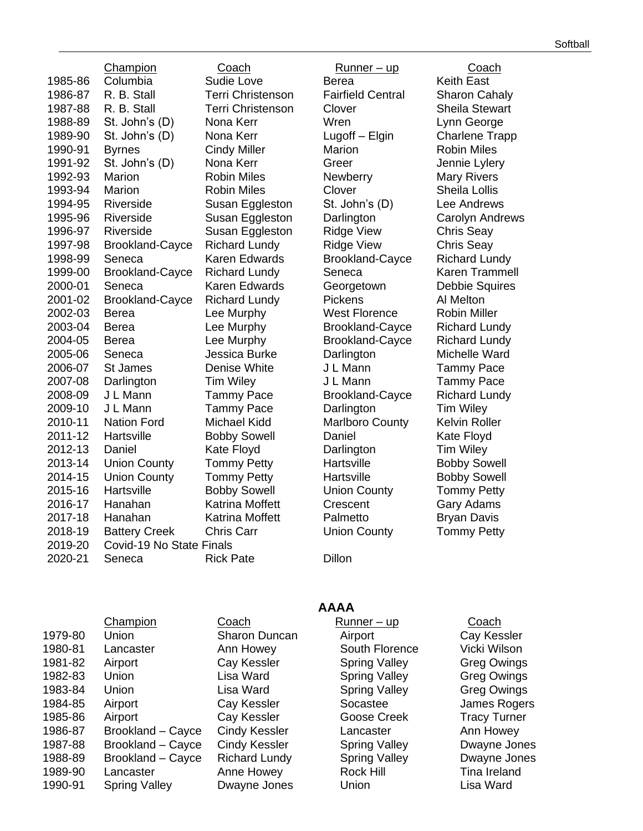Champion Coach Runner – up Coach 1985-86 Columbia Corressed Sudie Love Corress Berea and Keith East 1986-87 R. B. Stall Terri Christenson Fairfield Central Sharon Cahaly 1987-88 R. B. Stall Terri Christenson Clover Sheila Stewart 1988-89 St. John's (D) Nona Kerr Wren Lynn George 1989-90 St. John's (D) Nona Kerr Lugoff – Elgin Charlene Trapp 1990-91 Byrnes Cindy Miller Marion Robin Miles 1991-92 St. John's (D) Nona Kerr Greer Jennie Lylery 1992-93 Marion **Robin Miles** Newberry Mary Rivers 1993-94 Marion Robin Miles Clover Sheila Lollis 1994-95 Riverside Susan Eggleston St. John's (D) Lee Andrews 1995-96 Riverside Susan Eggleston Darlington Carolyn Andrews 1996-97 Riverside Susan Eggleston Ridge View Chris Seay 1997-98 Brookland-Cayce Richard Lundy Ridge View Chris Seay 1998-99 Seneca Karen Edwards Brookland-Cayce Richard Lundy 1999-00 Brookland-Cayce Richard Lundy Seneca Karen Trammell 2000-01 Seneca Karen Edwards Georgetown Debbie Squires 2001-02 Brookland-Cayce Richard Lundy Pickens Al Melton 2002-03 Berea Lee Murphy West Florence Robin Miller 2003-04 Berea Lee Murphy Brookland-Cayce Richard Lundy 2004-05 Berea Lee Murphy Brookland-Cayce Richard Lundy 2005-06 Seneca Jessica Burke Darlington Michelle Ward 2006-07 St James Denise White J L Mann Tammy Pace 2007-08 Darlington Tim Wiley J L Mann Tammy Pace 2008-09 J L Mann Tammy Pace Brookland-Cayce Richard Lundy 2009-10 J L Mann Tammy Pace Darlington Tim Wiley<br>2010-11 Nation Ford Michael Kidd Marlboro County Kelvin Roller 2010-11 Nation Ford Michael Kidd Marlboro County 2011-12 Hartsville Bobby Sowell Daniel Kate Floyd 2012-13 Daniel Kate Floyd Darlington Tim Wiley 2013-14 Union County Tommy Petty Hartsville Bobby Sowell 2014-15 Union County Tommy Petty Hartsville Bobby Sowell 2015-16 Hartsville Bobby Sowell Union County Tommy Petty 2016-17 Hanahan Katrina Moffett Crescent Gary Adams 2017-18 Hanahan Katrina Moffett Palmetto Bryan Davis 2018-19 Battery Creek Chris Carr Union County Tommy Petty 2019-20 Covid-19 No State Finals 2020-21 Seneca Rick Pate Dillon

|         | Champion             | Coach                | Runner – up          | Coach              |
|---------|----------------------|----------------------|----------------------|--------------------|
| 1979-80 | Union                | <b>Sharon Duncan</b> | Airport              | Cay Kessl          |
| 1980-81 | Lancaster            | Ann Howey            | South Florence       | <b>Vicki Wilso</b> |
| 1981-82 | Airport              | Cay Kessler          | <b>Spring Valley</b> | <b>Greg Owir</b>   |
| 1982-83 | Union                | Lisa Ward            | <b>Spring Valley</b> | <b>Greg Owir</b>   |
| 1983-84 | Union                | Lisa Ward            | <b>Spring Valley</b> | <b>Greg Owir</b>   |
| 1984-85 | Airport              | Cay Kessler          | Socastee             | James Ro           |
| 1985-86 | Airport              | Cay Kessler          | Goose Creek          | <b>Tracy Turr</b>  |
| 1986-87 | Brookland - Cayce    | Cindy Kessler        | Lancaster            | Ann Howe           |
| 1987-88 | Brookland - Cayce    | Cindy Kessler        | <b>Spring Valley</b> | Dwayne Jo          |
| 1988-89 | Brookland - Cayce    | <b>Richard Lundy</b> | <b>Spring Valley</b> | Dwayne Jo          |
| 1989-90 | Lancaster            | Anne Howey           | Rock Hill            | Tina Irelan        |
| 1990-91 | <b>Spring Valley</b> | Dwayne Jones         | Union                | Lisa Ward          |

# **AAAA**

**1979-80 India** Airport Cay Kessler nn Howey **South Florence** Vicki Wilson ay Kessler Spring Valley Greg Owings isa Ward **Spring Valley Calley** Greg Owings isa Ward **Spring Valley** Greg Owings ay Kessler Socastee James Rogers ay Kessler **Goose Creek** Tracy Turner From From Lancaster **Ann Howey** Cindy Kessler Lancaster **Ann Howey** landy Kessler – Spring Valley – Dwayne Jones lichard Lundy **Spring Valley Contained Lundy Cones** nne Howey **Rock Hill** Tina Ireland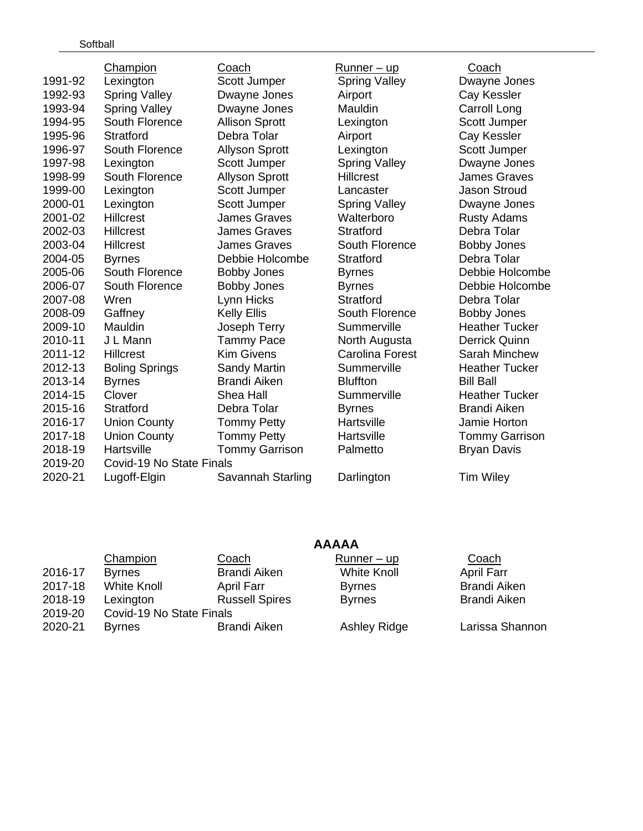|         | Champion                 | Coach                 | Runner - up            | Coach                 |
|---------|--------------------------|-----------------------|------------------------|-----------------------|
| 1991-92 | Lexington                | Scott Jumper          | <b>Spring Valley</b>   | Dwayne Jones          |
| 1992-93 | <b>Spring Valley</b>     | Dwayne Jones          | Airport                | Cay Kessler           |
| 1993-94 | <b>Spring Valley</b>     | Dwayne Jones          | Mauldin                | Carroll Long          |
| 1994-95 | South Florence           | <b>Allison Sprott</b> | Lexington              | Scott Jumper          |
| 1995-96 | <b>Stratford</b>         | Debra Tolar           | Airport                | Cay Kessler           |
| 1996-97 | South Florence           | <b>Allyson Sprott</b> | Lexington              | Scott Jumper          |
| 1997-98 | Lexington                | Scott Jumper          | <b>Spring Valley</b>   | Dwayne Jones          |
| 1998-99 | South Florence           | <b>Allyson Sprott</b> | <b>Hillcrest</b>       | <b>James Graves</b>   |
| 1999-00 | Lexington                | Scott Jumper          | Lancaster              | <b>Jason Stroud</b>   |
| 2000-01 | Lexington                | Scott Jumper          | <b>Spring Valley</b>   | Dwayne Jones          |
| 2001-02 | <b>Hillcrest</b>         | <b>James Graves</b>   | Walterboro             | <b>Rusty Adams</b>    |
| 2002-03 | Hillcrest                | <b>James Graves</b>   | <b>Stratford</b>       | Debra Tolar           |
| 2003-04 | <b>Hillcrest</b>         | <b>James Graves</b>   | South Florence         | <b>Bobby Jones</b>    |
| 2004-05 | <b>Byrnes</b>            | Debbie Holcombe       | <b>Stratford</b>       | Debra Tolar           |
| 2005-06 | South Florence           | <b>Bobby Jones</b>    | <b>Byrnes</b>          | Debbie Holcombe       |
| 2006-07 | South Florence           | <b>Bobby Jones</b>    | <b>Byrnes</b>          | Debbie Holcombe       |
| 2007-08 | Wren                     | Lynn Hicks            | <b>Stratford</b>       | Debra Tolar           |
| 2008-09 | Gaffney                  | <b>Kelly Ellis</b>    | South Florence         | <b>Bobby Jones</b>    |
| 2009-10 | Mauldin                  | Joseph Terry          | Summerville            | <b>Heather Tucker</b> |
| 2010-11 | J L Mann                 | <b>Tammy Pace</b>     | North Augusta          | <b>Derrick Quinn</b>  |
| 2011-12 | <b>Hillcrest</b>         | <b>Kim Givens</b>     | <b>Carolina Forest</b> | <b>Sarah Minchew</b>  |
| 2012-13 | <b>Boling Springs</b>    | <b>Sandy Martin</b>   | Summerville            | <b>Heather Tucker</b> |
| 2013-14 | <b>Byrnes</b>            | <b>Brandi Aiken</b>   | <b>Bluffton</b>        | <b>Bill Ball</b>      |
| 2014-15 | Clover                   | Shea Hall             | Summerville            | <b>Heather Tucker</b> |
| 2015-16 | <b>Stratford</b>         | Debra Tolar           | <b>Byrnes</b>          | <b>Brandi Aiken</b>   |
| 2016-17 | <b>Union County</b>      | <b>Tommy Petty</b>    | Hartsville             | Jamie Horton          |
| 2017-18 | <b>Union County</b>      | <b>Tommy Petty</b>    | Hartsville             | <b>Tommy Garrison</b> |
| 2018-19 | Hartsville               | <b>Tommy Garrison</b> | Palmetto               | <b>Bryan Davis</b>    |
| 2019-20 | Covid-19 No State Finals |                       |                        |                       |
| 2020-21 | Lugoff-Elgin             | Savannah Starling     | Darlington             | <b>Tim Wiley</b>      |
|         |                          |                       |                        |                       |

| <b>AAAAA</b> |  |
|--------------|--|
|              |  |

|         | Champion                 | Coach                 | $Runner - up$       | Coach               |
|---------|--------------------------|-----------------------|---------------------|---------------------|
| 2016-17 | <b>Byrnes</b>            | <b>Brandi Aiken</b>   | <b>White Knoll</b>  | <b>April Farr</b>   |
| 2017-18 | <b>White Knoll</b>       | April Farr            | <b>Byrnes</b>       | <b>Brandi Aiken</b> |
| 2018-19 | Lexington                | <b>Russell Spires</b> | <b>Byrnes</b>       | <b>Brandi Aiken</b> |
| 2019-20 | Covid-19 No State Finals |                       |                     |                     |
| 2020-21 | <b>Byrnes</b>            | <b>Brandi Aiken</b>   | <b>Ashley Ridge</b> | Larissa Shannon     |

| $\underline{\underline{\mathtt{v}}\underline{\mathtt{v}}\underline{\mathtt{v}}\underline{\mathtt{v}}\underline{\mathtt{r}}\underline{\mathtt{r}}$ |
|---------------------------------------------------------------------------------------------------------------------------------------------------|
| Dwayne Jones                                                                                                                                      |
| Cay Kessler                                                                                                                                       |
| Carroll Long                                                                                                                                      |
| Scott Jumper                                                                                                                                      |
| Cay Kessler                                                                                                                                       |
| Scott Jumper                                                                                                                                      |
| Dwayne Jones                                                                                                                                      |
| James Graves                                                                                                                                      |
| Jason Stroud                                                                                                                                      |
| Dwayne Jones                                                                                                                                      |
| <b>Rusty Adams</b>                                                                                                                                |
| Debra Tolar                                                                                                                                       |
| <b>Bobby Jones</b>                                                                                                                                |
| Debra Tolar                                                                                                                                       |
| Debbie Holcomb                                                                                                                                    |
| Debbie Holcomb                                                                                                                                    |
| Debra Tolar                                                                                                                                       |
| <b>Bobby Jones</b>                                                                                                                                |
| <b>Heather Tucker</b>                                                                                                                             |
| Derrick Quinn                                                                                                                                     |
| Sarah Minchew                                                                                                                                     |
| <b>Heather Tucker</b>                                                                                                                             |
| <b>Bill Ball</b>                                                                                                                                  |
| Heather Tucker                                                                                                                                    |
| <b>Brandi Aiken</b>                                                                                                                               |
| Jamie Horton                                                                                                                                      |
| <b>Tommy Garrison</b>                                                                                                                             |
| Bryan Davis                                                                                                                                       |
|                                                                                                                                                   |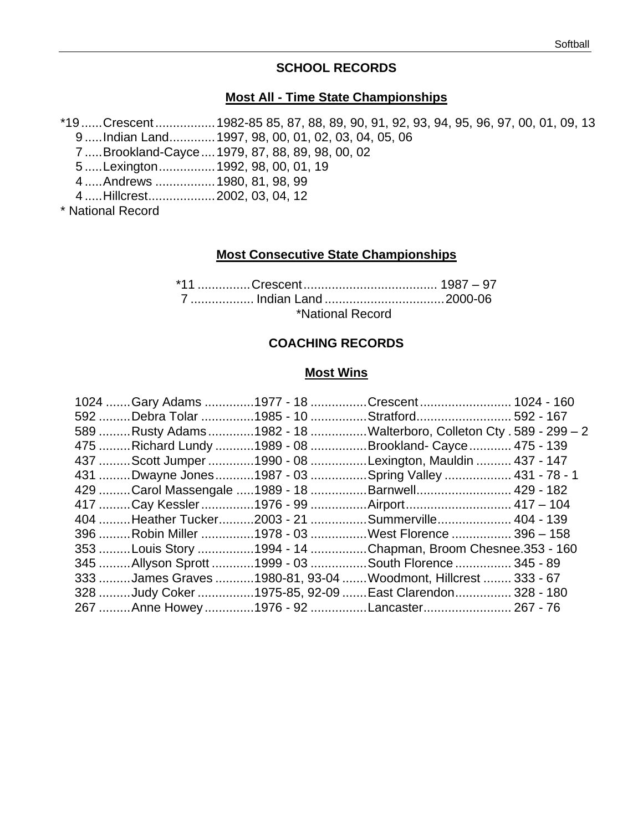#### **SCHOOL RECORDS**

#### **Most All - Time State Championships**

\*19......Crescent.................1982-85 85, 87, 88, 89, 90, 91, 92, 93, 94, 95, 96, 97, 00, 01, 09, 13 .....Indian Land.............1997, 98, 00, 01, 02, 03, 04, 05, 06

- .....Brookland-Cayce....1979, 87, 88, 89, 98, 00, 02
- .....Lexington................1992, 98, 00, 01, 19
- .....Andrews .................1980, 81, 98, 99
- .....Hillcrest...................2002, 03, 04, 12

\* National Record

#### **Most Consecutive State Championships**

\*11 ...............Crescent...................................... 1987 – 97 .................. Indian Land ..................................2000-06 \*National Record

#### **COACHING RECORDS**

#### **Most Wins**

|  |  | 1024  Gary Adams 1977 - 18 Crescent  1024 - 160                    |  |
|--|--|--------------------------------------------------------------------|--|
|  |  | 592 Debra Tolar 1985 - 10 Stratford592 - 167                       |  |
|  |  | 589 Rusty Adams 1982 - 18 Walterboro, Colleton Cty . 589 - 299 - 2 |  |
|  |  | 475 Richard Lundy 1989 - 08 Brookland- Cayce  475 - 139            |  |
|  |  | 437  Scott Jumper 1990 - 08 Lexington, Mauldin  437 - 147          |  |
|  |  | 431 Dwayne Jones 1987 - 03 Spring Valley  431 - 78 - 1             |  |
|  |  | 429 Carol Massengale 1989 - 18 Barnwell 429 - 182                  |  |
|  |  | 417 Cay Kessler 1976 - 99 Airport 417 - 104                        |  |
|  |  | 404 Heather Tucker2003 - 21 Summerville 404 - 139                  |  |
|  |  | 396 Robin Miller 1978 - 03 West Florence  396 - 158                |  |
|  |  | 353 Louis Story 1994 - 14 Chapman, Broom Chesnee.353 - 160         |  |
|  |  | 345 Allyson Sprott 1999 - 03 South Florence  345 - 89              |  |
|  |  | 333 James Graves 1980-81, 93-04 Woodmont, Hillcrest  333 - 67      |  |
|  |  | 328 Judy Coker 1975-85, 92-09  East Clarendon 328 - 180            |  |
|  |  | 267 Anne Howey 1976 - 92 Lancaster 267 - 76                        |  |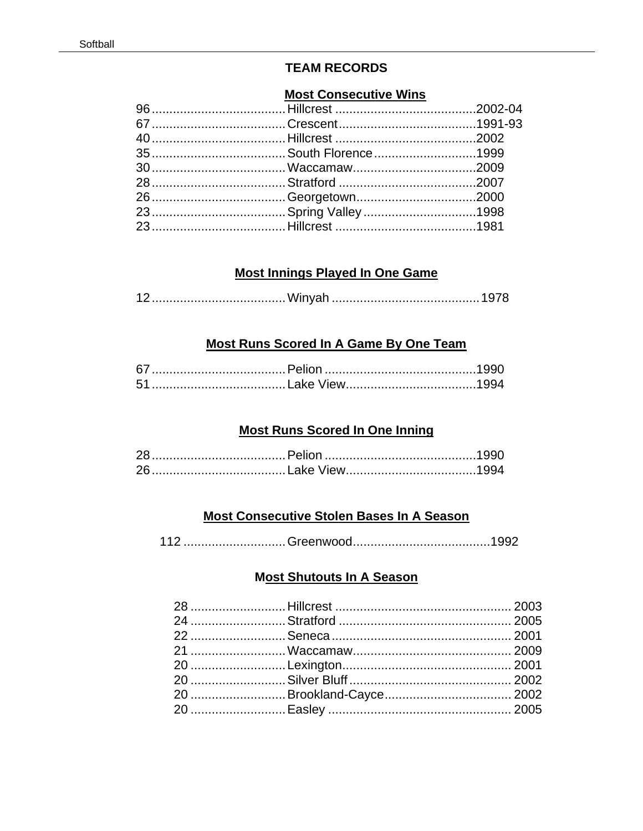### **TEAM RECORDS**

# **Most Consecutive Wins**

### **Most Innings Played In One Game**

|--|--|

## **Most Runs Scored In A Game By One Team**

#### **Most Runs Scored In One Inning**

# **Most Consecutive Stolen Bases In A Season**

| 110 |  |
|-----|--|
|-----|--|

#### **Most Shutouts In A Season**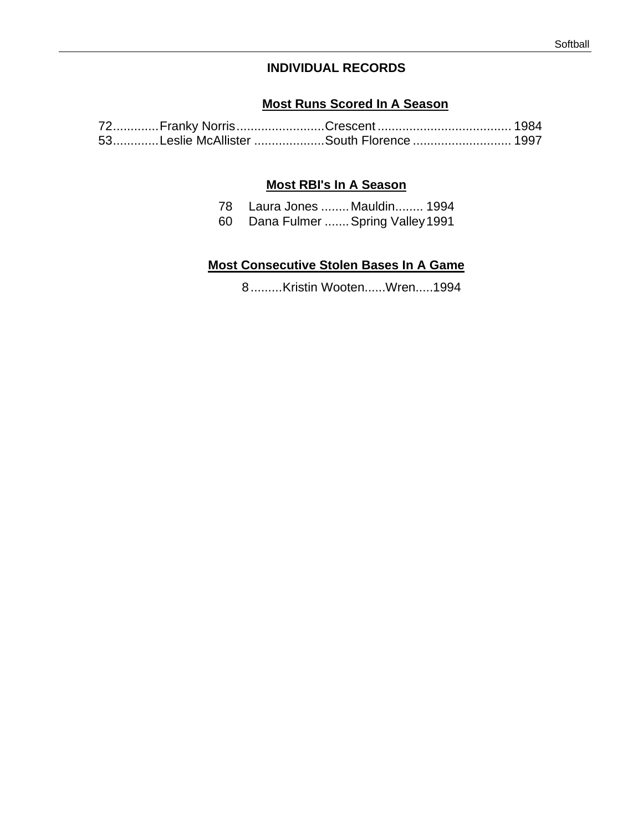# **INDIVIDUAL RECORDS**

#### **Most Runs Scored In A Season**

|  | 53Leslie McAllister South Florence  1997 |  |
|--|------------------------------------------|--|

#### **Most RBI's In A Season**

| 78   |             | Laura Jones  Mauldin 1994 |
|------|-------------|---------------------------|
| C∩ ∴ | Dong Eulman | Onrina Volallou1001       |

#### 60 Dana Fulmer .......Spring Valley1991

#### **Most Consecutive Stolen Bases In A Game**

8.........Kristin Wooten......Wren.....1994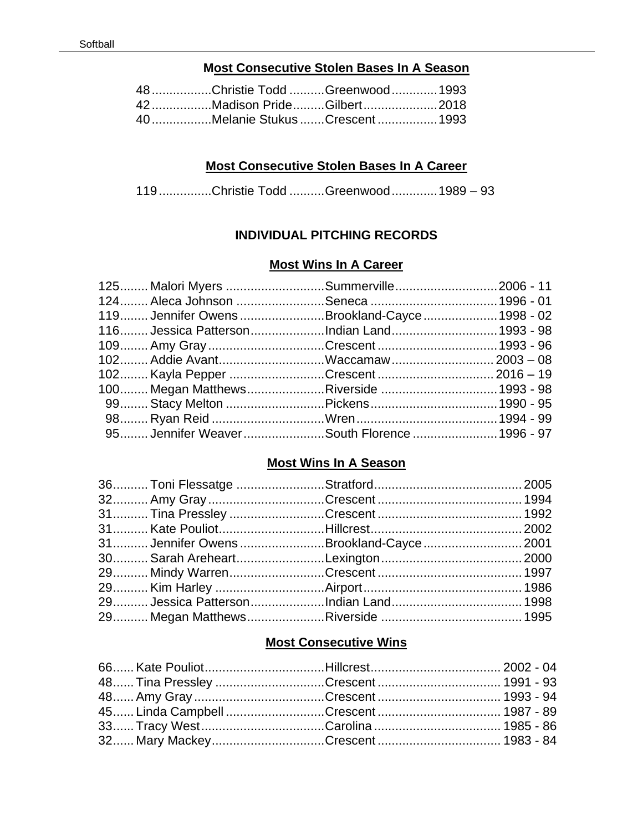# **Most Consecutive Stolen Bases In A Season**

| 48Christie Todd Greenwood  1993 |  |
|---------------------------------|--|
| 42 Madison PrideGilbert2018     |  |
| 40Melanie StukusCrescent1993    |  |

#### **Most Consecutive Stolen Bases In A Career**

119...............Christie Todd ..........Greenwood.............1989 – 93

#### **INDIVIDUAL PITCHING RECORDS**

#### **Most Wins In A Career**

| 119 Jennifer Owens Brookland-Cayce  1998 - 02 |  |
|-----------------------------------------------|--|
| 116 Jessica PattersonIndian Land1993 - 98     |  |
|                                               |  |
|                                               |  |
|                                               |  |
|                                               |  |
|                                               |  |
|                                               |  |
| 95 Jennifer WeaverSouth Florence1996 - 97     |  |

# **Most Wins In A Season**

|  | 31 Jennifer Owens Brookland-Cayce  2001 |  |
|--|-----------------------------------------|--|
|  |                                         |  |
|  |                                         |  |
|  |                                         |  |
|  |                                         |  |
|  |                                         |  |

# **Most Consecutive Wins**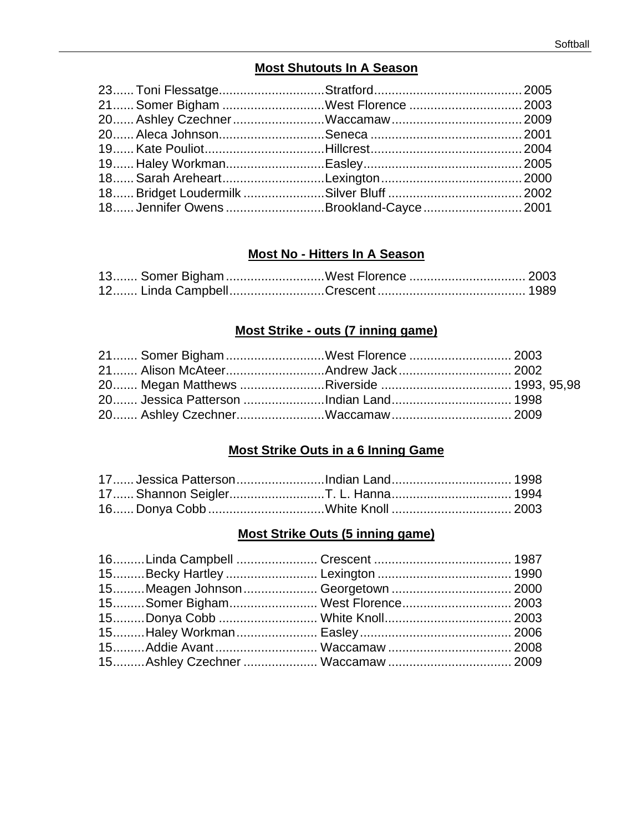# **Most Shutouts In A Season**

| 21 Somer Bigham West Florence  2003     |  |
|-----------------------------------------|--|
|                                         |  |
|                                         |  |
|                                         |  |
|                                         |  |
|                                         |  |
|                                         |  |
| 18 Jennifer Owens Brookland-Cayce  2001 |  |

#### **Most No - Hitters In A Season**

| 13 Somer Bigham West Florence  2003 |  |
|-------------------------------------|--|
|                                     |  |

# **Most Strike - outs (7 inning game)**

|  | 21 Somer Bigham West Florence  2003   |  |
|--|---------------------------------------|--|
|  |                                       |  |
|  |                                       |  |
|  | 20 Jessica Patterson Indian Land 1998 |  |
|  |                                       |  |

#### **Most Strike Outs in a 6 Inning Game**

| 17 Jessica PattersonIndian Land 1998 |  |
|--------------------------------------|--|
|                                      |  |
|                                      |  |

# **Most Strike Outs (5 inning game)**

| 15Meagen Johnson  Georgetown  2000 |  |
|------------------------------------|--|
| 15Somer Bigham West Florence 2003  |  |
|                                    |  |
|                                    |  |
|                                    |  |
|                                    |  |